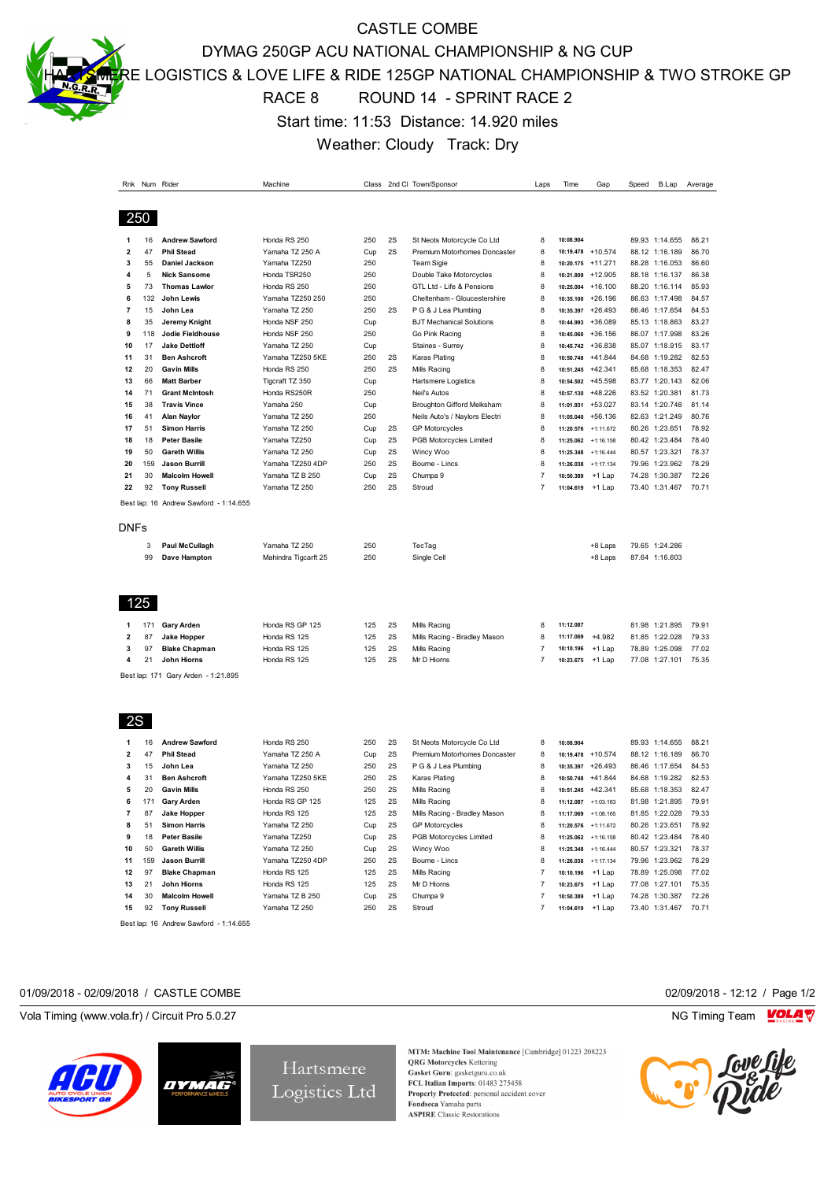CASTLE COMBE

DYMAG 250GP ACU NATIONAL CHAMPIONSHIP & NG CUP

E LOGISTICS & LOVE LIFE & RIDE 125GP NATIONAL CHAMPIONSHIP & TWO STROKE GP

## RACE 8 ROUND 14 - SPRINT RACE 2

Start time: 11:53 Distance: 14.920 miles

Weather: Cloudy Track: Dry

|                |            | Rnk Num Rider                          | Machine              |     |    | Class 2nd Cl: Town/Sponsor      | Laps           | Time      | Gap                 | Speed | B.Lap          | Average |
|----------------|------------|----------------------------------------|----------------------|-----|----|---------------------------------|----------------|-----------|---------------------|-------|----------------|---------|
|                |            |                                        |                      |     |    |                                 |                |           |                     |       |                |         |
|                |            |                                        |                      |     |    |                                 |                |           |                     |       |                |         |
| 250            |            |                                        |                      |     |    |                                 |                |           |                     |       |                |         |
| 1              | 16         | <b>Andrew Sawford</b>                  | Honda RS 250         | 250 | 2S | St Neots Motorcycle Co Ltd      | 8              | 10:08.904 |                     |       | 89.93 1:14.655 | 88.21   |
| $\overline{2}$ | 47         | <b>Phil Stead</b>                      | Yamaha TZ 250 A      | Cup | 2S | Premium Motorhomes Doncaster    | 8              |           | 10:19.478 +10.574   |       | 88.12 1:16.189 | 86.70   |
| 3              | 55         | Daniel Jackson                         | Yamaha TZ250         | 250 |    | <b>Team Sigie</b>               | 8              |           | 10:20.175 +11.271   |       | 88.28 1:16.053 | 86.60   |
| 4              | 5          | <b>Nick Sansome</b>                    | Honda TSR250         | 250 |    | Double Take Motorcycles         | 8              |           | 10:21.809 +12.905   |       | 88.18 1:16.137 | 86.38   |
| 5              | 73         | <b>Thomas Lawlor</b>                   | Honda RS 250         | 250 |    | GTL Ltd - Life & Pensions       | 8              |           | 10:25.004 +16.100   |       | 88.20 1:16.114 | 85.93   |
| 6              | 132        | John Lewis                             | Yamaha TZ250 250     | 250 |    | Cheltenham - Gloucestershire    | 8              | 10:35.100 | +26.196             |       | 86.63 1:17.498 | 84.57   |
| 7              | 15         | John Lea                               | Yamaha TZ 250        | 250 | 2S | P G & J Lea Plumbing            | 8              |           | 10:35.397 +26.493   |       | 86.46 1:17.654 | 84.53   |
| 8              | 35         | Jeremy Knight                          | Honda NSF 250        | Cup |    | <b>BJT Mechanical Solutions</b> | 8              | 10:44.993 | +36.089             |       | 85.13 1:18.863 | 83.27   |
| 9              | 118        | Jodie Fieldhouse                       | Honda NSF 250        | 250 |    | Go Pink Racing                  | 8              | 10:45.060 | +36.156             |       | 86.07 1:17.998 | 83.26   |
| 10             | 17         | <b>Jake Dettloff</b>                   | Yamaha TZ 250        | Cup |    | Staines - Surrey                | 8              |           | 10:45.742 +36.838   |       | 85.07 1:18.915 | 83.17   |
| 11             | 31         | <b>Ben Ashcroft</b>                    | Yamaha TZ250 5KE     | 250 | 2S | <b>Karas Plating</b>            | 8              | 10:50.748 | +41.844             |       | 84.68 1:19.282 | 82.53   |
| 12             | 20         | <b>Gavin Mills</b>                     | Honda RS 250         | 250 | 2S | Mills Racing                    | 8              |           | 10:51.245 +42.341   |       | 85.68 1:18.353 | 82.47   |
| 13             | 66         | <b>Matt Barber</b>                     | Tigcraft TZ 350      | Cup |    | <b>Hartsmere Logistics</b>      | 8              |           | 10:54.502 +45.598   |       | 83.77 1:20.143 | 82.06   |
| 14             | 71         | <b>Grant McIntosh</b>                  | Honda RS250R         | 250 |    | Neil's Autos                    | 8              |           | 10:57.130 +48.226   |       | 83.52 1:20.381 | 81.73   |
| 15             | 38         | <b>Travis Vince</b>                    | Yamaha 250           | Cup |    | Broughton Gifford Melksham      | 8              |           | 11:01.931 +53.027   |       | 83.14 1:20.748 | 81.14   |
| 16             | 41         | <b>Alan Naylor</b>                     | Yamaha TZ 250        | 250 |    | Neils Auto's / Naylors Electri  | 8              |           | 11:05.040 +56.136   |       | 82.63 1:21.249 | 80.76   |
| 17             | 51         | <b>Simon Harris</b>                    | Yamaha TZ 250        | Cup | 2S | <b>GP Motorcycles</b>           | 8              | 11:20.576 | $+1:11.672$         |       | 80.26 1:23.651 | 78.92   |
| 18             | 18         | <b>Peter Basile</b>                    | Yamaha TZ250         | Cup | 2S | PGB Motorcycles Limited         | 8              |           | 11:25.062 +1:16.158 |       | 80.42 1:23.484 | 78.40   |
| 19             | 50         | <b>Gareth Willis</b>                   | Yamaha TZ 250        | Cup | 2S | Wincy Woo                       | 8              | 11:25.348 | $+1:16.444$         |       | 80.57 1:23.321 | 78.37   |
| 20             | 159        | <b>Jason Burrill</b>                   | Yamaha TZ250 4DP     | 250 | 2S | Bourne - Lincs                  | 8              | 11:26.038 | $+1:17.134$         |       | 79.96 1:23.962 | 78.29   |
| 21             | 30         | <b>Malcolm Howell</b>                  | Yamaha TZ B 250      | Cup | 2S | Chumpa 9                        | 7              | 10:50.389 | +1 Lap              |       | 74.28 1:30.387 | 72.26   |
| 22             | 92         | <b>Tony Russell</b>                    | Yamaha TZ 250        | 250 | 2S | Stroud                          | 7              | 11:04.619 | +1 Lap              |       | 73.40 1:31.467 | 70.71   |
|                |            | Best lap: 16 Andrew Sawford - 1:14.655 |                      |     |    |                                 |                |           |                     |       |                |         |
|                |            |                                        |                      |     |    |                                 |                |           |                     |       |                |         |
| <b>DNFs</b>    |            |                                        |                      |     |    |                                 |                |           |                     |       |                |         |
|                | 3          | <b>Paul McCullagh</b>                  | Yamaha TZ 250        | 250 |    | TecTag                          |                |           | +8 Laps             |       | 79.65 1:24.286 |         |
|                | 99         | Dave Hampton                           | Mahindra Tigcarft 25 | 250 |    | Single Cell                     |                |           | +8 Laps             |       | 87.64 1:16.603 |         |
|                |            |                                        |                      |     |    |                                 |                |           |                     |       |                |         |
| 1              | 125<br>171 | <b>Gary Arden</b>                      | Honda RS GP 125      | 125 | 2S | Mills Racing                    | 8              | 11:12.087 |                     |       | 81.98 1:21.895 | 79.91   |
| $\overline{2}$ | 87         | <b>Jake Hopper</b>                     | Honda RS 125         | 125 | 2S | Mills Racing - Bradley Mason    | 8              | 11:17.069 | $+4.982$            |       | 81.85 1:22.028 | 79.33   |
| 3              | 97         | <b>Blake Chapman</b>                   | Honda RS 125         | 125 | 2S | Mills Racing                    | $\overline{7}$ | 10:10.196 | +1 Lap              |       | 78.89 1:25.098 | 77.02   |
| 4              | 21         | John Hiorns                            | Honda RS 125         | 125 | 2S | Mr D Hiorns                     | 7              | 10:23.675 | +1 Lap              |       | 77.08 1:27.101 | 75.35   |
|                |            | Best lap: 171 Gary Arden - 1:21.895    |                      |     |    |                                 |                |           |                     |       |                |         |
| 2S             |            |                                        |                      |     |    |                                 |                |           |                     |       |                |         |
| 1              | 16         | <b>Andrew Sawford</b>                  | Honda RS 250         | 250 | 2S | St Neots Motorcycle Co Ltd      | 8              | 10:08.904 |                     |       | 89.93 1:14.655 | 88.21   |
| $\overline{2}$ | 47         | <b>Phil Stead</b>                      | Yamaha TZ 250 A      | Cup | 2S | Premium Motorhomes Doncaster    | 8              |           | 10:19.478 +10.574   |       | 88.12 1:16.189 | 86.70   |
| 3              | 15         | John Lea                               | Yamaha TZ 250        | 250 | 2S | P G & J Lea Plumbing            | 8              |           | 10:35.397 +26.493   |       | 86.46 1:17.654 | 84.53   |
| 4              | 31         | <b>Ben Ashcroft</b>                    | Yamaha TZ250 5KE     | 250 | 2S | Karas Plating                   | 8              | 10:50.748 | +41.844             |       | 84.68 1:19.282 | 82.53   |
| 5              | 20         | <b>Gavin Mills</b>                     | Honda RS 250         | 250 | 2S | Mills Racing                    | 8              |           | 10:51.245 +42.341   |       | 85.68 1:18.353 | 82.47   |
| 6              | 171        | <b>Gary Arden</b>                      | Honda RS GP 125      | 125 | 2S | Mills Racing                    | 8              |           | 11:12.087 +1:03.183 |       | 81.98 1:21.895 | 79.91   |
| 7              | 87         | <b>Jake Hopper</b>                     | Honda RS 125         | 125 | 2S | Mills Racing - Bradley Mason    | 8              | 11:17.069 | $+1:08.165$         |       | 81.85 1:22.028 | 79.33   |
| 8              | 51         | <b>Simon Harris</b>                    | Yamaha TZ 250        | Cup | 2S | <b>GP Motorcycles</b>           | 8              | 11:20.576 | $+1:11.672$         |       | 80.26 1:23.651 | 78.92   |
| 9              | 18         | <b>Peter Basile</b>                    | Yamaha TZ250         | Cup | 2S | PGB Motorcycles Limited         | 8              |           | 11:25.062 +1:16.158 |       | 80.42 1:23.484 | 78.40   |
| 10             | 50         | <b>Gareth Willis</b>                   | Yamaha TZ 250        | Cup | 2S | Wincy Woo                       | 8              | 11:25.348 | $+1:16.444$         |       | 80.57 1:23.321 | 78.37   |
| 11             | 159        | <b>Jason Burrill</b>                   | Yamaha TZ250 4DP     | 250 | 2S | Bourne - Lincs                  | 8              |           | 11:26.038 +1:17.134 |       | 79.96 1:23.962 | 78.29   |
| 12             | 97         | <b>Blake Chapman</b>                   | Honda RS 125         | 125 | 2S | Mills Racing                    | $\overline{7}$ | 10:10.196 | +1 Lap              |       | 78.89 1:25.098 | 77.02   |
| 13             | 21         | John Hiorns                            | Honda RS 125         | 125 | 2S | Mr D Hiorns                     | $\overline{7}$ | 10:23.675 | +1 Lap              |       | 77.08 1:27.101 | 75.35   |
| 14             | 30         | <b>Malcolm Howell</b>                  | Yamaha TZ B 250      | Cup | 2S | Chumpa 9                        | 7              | 10:50.389 | +1 Lap              |       | 74.28 1:30.387 | 72.26   |
| 15             | 92         | <b>Tony Russell</b>                    | Yamaha TZ 250        | 250 | 2S | Stroud                          | 7              | 11:04.619 | +1 Lap              |       | 73.40 1:31.467 | 70.71   |

Best lap: 16 Andrew Sawford - 1:14.655

#### 01/09/2018 - 02/09/2018 / CASTLE COMBE 02/09/2018 - 12:12 / Page 1/2

Vola Timing (www.vola.fr) / Circuit Pro 5.0.27 NG Timing Team NG Timing Team NG Timing Team NG Timing Team NG





Hartsmere Logistics Ltd

MTM: Machine Tool Maintenance [Cambridge] 01223 208223 **QRG** Motorcycles Kettering Gasket Guru: gasketguru.co.uk<br>FCL Italian Imports: 01483 275458 Properly Protected: personal accident cover Fondseca Yamaha parts **ASPIRE** Classic Restorations



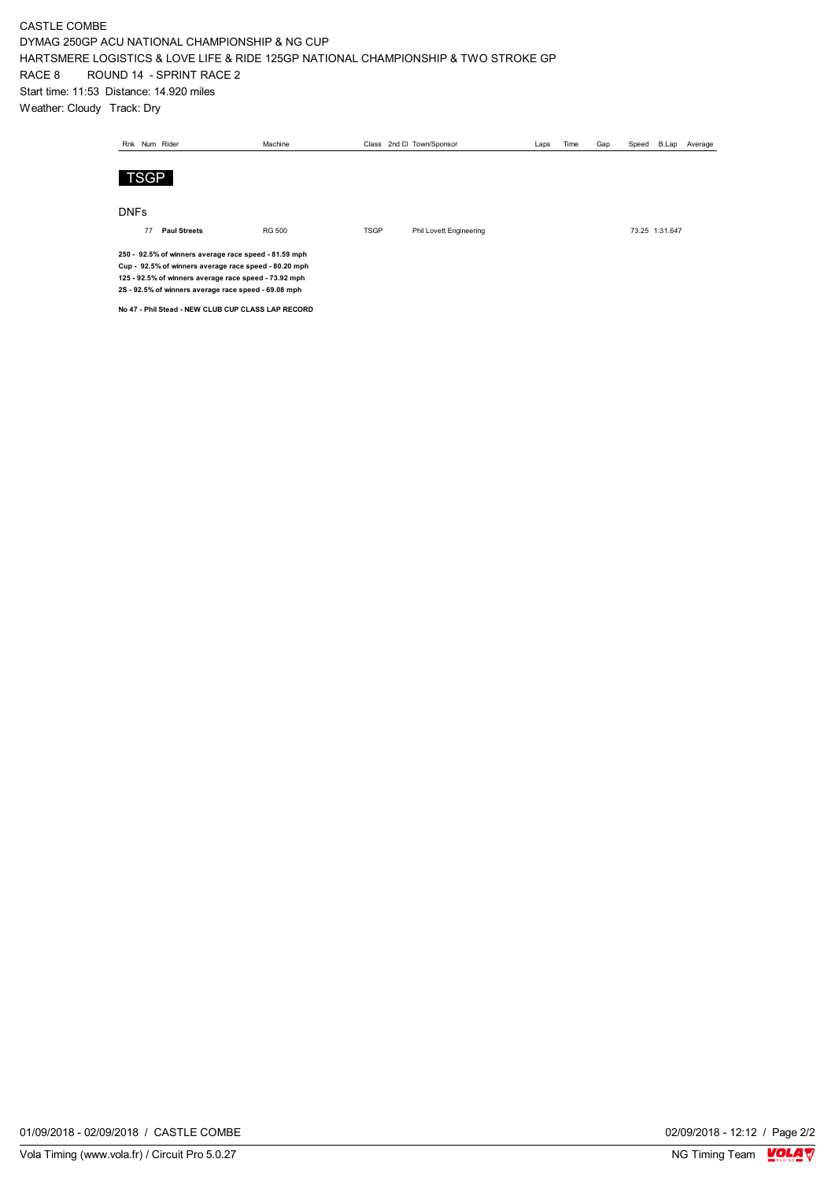#### CASTLE COMBE DYMAG 250GP ACU NATIONAL CHAMPIONSHIP & NG CUP HARTSMERE LOGISTICS & LOVE LIFE & RIDE 125GP NATIONAL CHAMPIONSHIP & TWO STROKE GP RACE 8 ROUND 14 - SPRINT RACE 2 Start time: 11:53 Distance: 14.920 miles Weather: Cloudy Track: Dry

|             |                                                                                                                                                                                                                                 | Rnk Num Rider       | Machine       |             |  | Class 2nd Cl: Town/Sponsor | Laps | Time | Gap | Speed          | B.Lap | Average |
|-------------|---------------------------------------------------------------------------------------------------------------------------------------------------------------------------------------------------------------------------------|---------------------|---------------|-------------|--|----------------------------|------|------|-----|----------------|-------|---------|
|             | <b>TSGP</b>                                                                                                                                                                                                                     |                     |               |             |  |                            |      |      |     |                |       |         |
| <b>DNFs</b> |                                                                                                                                                                                                                                 |                     |               |             |  |                            |      |      |     |                |       |         |
|             | 77                                                                                                                                                                                                                              | <b>Paul Streets</b> | <b>RG 500</b> | <b>TSGP</b> |  | Phil Lovett Engineering    |      |      |     | 73.25 1:31.647 |       |         |
|             | 250 - 92.5% of winners average race speed - 81.59 mph<br>Cup - 92.5% of winners average race speed - 80.20 mph<br>125 - 92.5% of winners average race speed - 73.92 mph<br>2S - 92.5% of winners average race speed - 69.08 mph |                     |               |             |  |                            |      |      |     |                |       |         |

**No 47 - Phil Stead - NEW CLUB CUP CLASS LAP RECORD**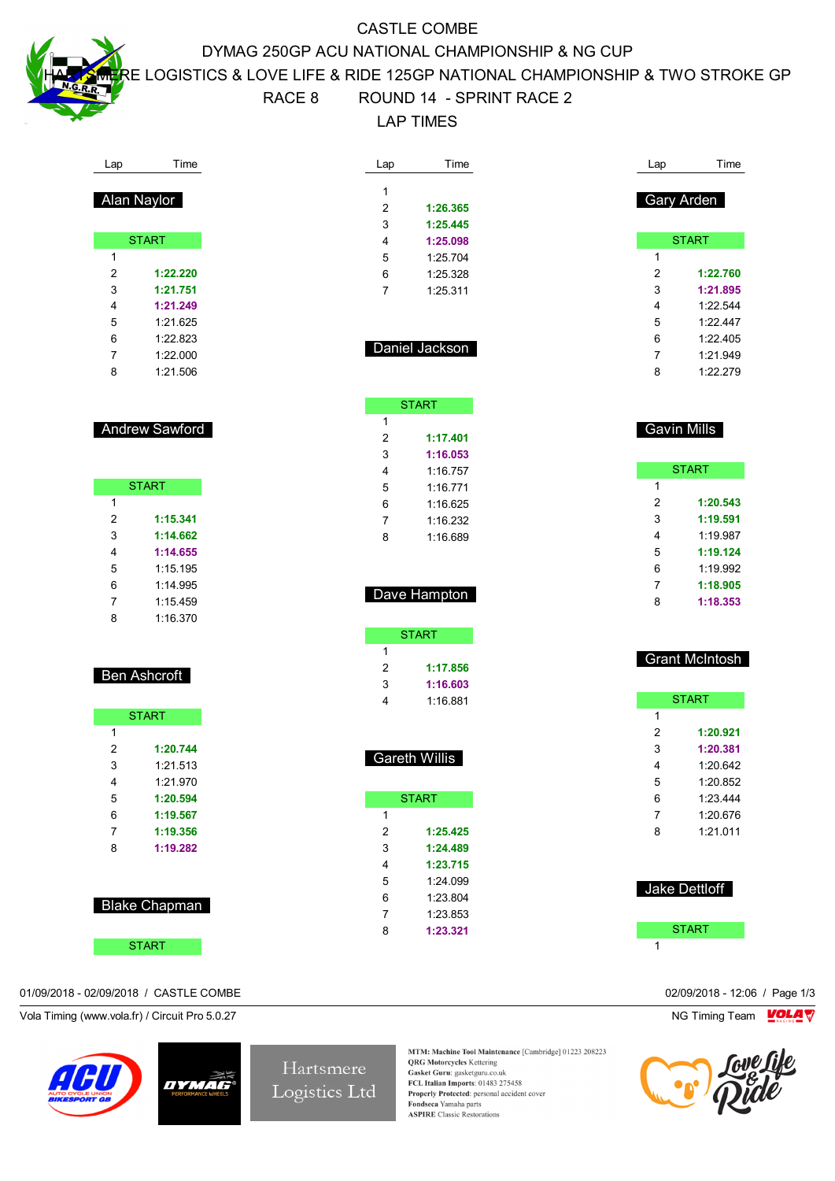Lap Time

Alan Naylor

**START** 

 **1:22.220 1:21.751 1:21.249** 1:21.625 1:22.823 1:22.000 1:21.506

Andrew Sawford

**START** 

 **1:15.341 1:14.662 1:14.655** 1:15.195 1:14.995 1:15.459 1:16.370

Ben Ashcroft

**START** 

 **1:20.744** 1:21.513 1:21.970 **1:20.594 1:19.567 1:19.356 1:19.282**

Blake Chapman

**START** 

# CASTLE COMBE DYMAG 250GP ACU NATIONAL CHAMPIONSHIP & NG CUP

E LOGISTICS & LOVE LIFE & RIDE 125GP NATIONAL CHAMPIONSHIP & TWO STROKE GP

# RACE 8 ROUND 14 - SPRINT RACE 2

LAP TIMES

|                | Time                 | Lap            | Time                  |
|----------------|----------------------|----------------|-----------------------|
| 1              |                      |                |                       |
| $\overline{2}$ | 1:26.365             |                | Gary Arden            |
| 3              | 1:25.445             |                |                       |
| 4              | 1:25.098             |                | <b>START</b>          |
|                |                      | 1              |                       |
| 5              | 1:25.704             | 2              |                       |
| 6              | 1:25.328             |                | 1:22.760              |
| 7              | 1:25.311             | 3              | 1:21.895              |
|                |                      | 4              | 1:22.544              |
|                |                      | 5              | 1:22.447              |
|                | Daniel Jackson       | 6              | 1:22.405              |
|                |                      | 7              | 1:21.949              |
|                |                      | 8              | 1:22.279              |
|                | <b>START</b>         |                |                       |
| 1              |                      |                |                       |
| 2              | 1:17.401             |                | <b>Gavin Mills</b>    |
| 3              | 1:16.053             |                |                       |
| 4              | 1:16.757             |                | <b>START</b>          |
| 5              | 1:16.771             | 1              |                       |
| 6              | 1:16.625             | $\overline{2}$ | 1:20.543              |
| 7              | 1:16.232             | 3              | 1:19.591              |
| 8              | 1:16.689             | 4              | 1:19.987              |
|                |                      | 5              | 1:19.124              |
|                |                      | 6              | 1:19.992              |
|                |                      | 7              | 1:18.905              |
|                | Dave Hampton         | 8              | 1:18.353              |
|                |                      |                |                       |
|                |                      |                |                       |
|                | <b>START</b>         |                |                       |
| 1              |                      |                |                       |
| $\overline{2}$ | 1:17.856             |                | <b>Grant McIntosh</b> |
| 3              | 1:16.603             |                |                       |
| 4              | 1:16.881             |                | <b>START</b>          |
|                |                      | $\mathbf{1}$   |                       |
|                |                      | 2              | 1:20.921              |
|                |                      | 3              | 1:20.381              |
|                | <b>Gareth Willis</b> | 4              | 1:20.642              |
|                |                      | 5              | 1:20.852              |
|                | <b>START</b>         | 6              | 1:23.444              |
| 1              |                      | 7              | 1:20.676              |
| $\overline{c}$ | 1:25.425             | 8              | 1:21.011              |
| 3              | 1:24.489             |                |                       |
| $\overline{4}$ | 1:23.715             |                |                       |
| 5              | 1:24.099             |                |                       |
|                |                      |                | Jake Dettloff         |
| 6<br>7         | 1:23.804             |                |                       |
| 8              | 1:23.853<br>1:23.321 |                | <b>START</b>          |

#### 01/09/2018 - 02/09/2018 / CASTLE COMBE 02/09/2018 - 12:06 / Page 1/3

Vola Timing (www.vola.fr) / Circuit Pro 5.0.27 NG Timing Team NG Timing Team NG Timing Team NG Timing Team NG



Hartsmere Logistics Ltd

MTM: Machine Tool Maintenance [Cambridge] 01223 208223 **QRG** Motorcycles Kettering Gasket Guru: gasketguru.co.uk FCL Italian Imports: 01483 275458 Properly Protected: personal accident cover Fondseca Yamaha parts **ASPIRE** Classic Restorations

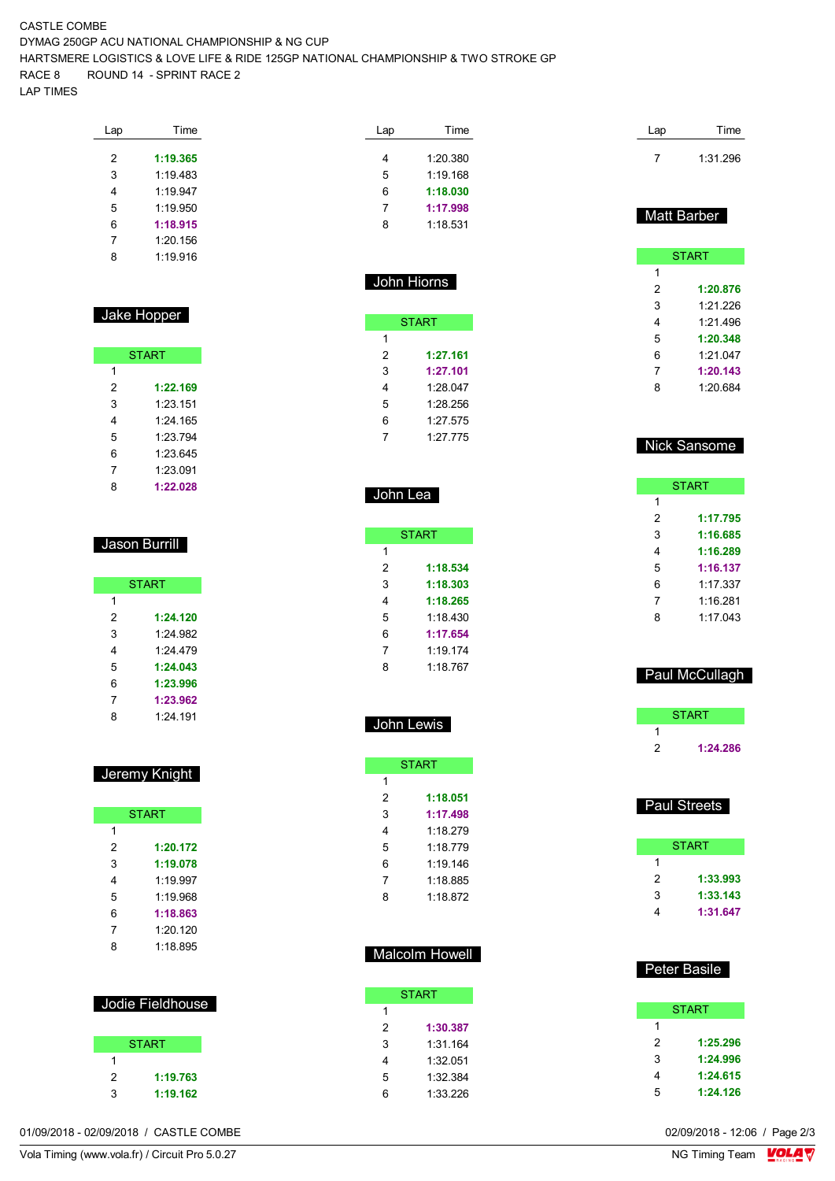CASTLE COMBE DYMAG 250GP ACU NATIONAL CHAMPIONSHIP & NG CUP HARTSMERE LOGISTICS & LOVE LIFE & RIDE 125GP NATIONAL CHAMPIONSHIP & TWO STROKE GP RACE 8 ROUND 14 - SPRINT RACE 2 LAP TIMES

| Lap | Time     |
|-----|----------|
|     |          |
| 2   | 1:19.365 |
| 3   | 1:19.483 |
| 4   | 1.19.947 |
| 5   | 1:19.950 |
| 6   | 1:18.915 |
| 7   | 1:20.156 |
| 8   | 1.19916  |
|     |          |

## Jake Hopper

| <b>START</b> |          |  |  |  |  |  |
|--------------|----------|--|--|--|--|--|
| 1            |          |  |  |  |  |  |
| 2            | 1:22.169 |  |  |  |  |  |
| 3            | 1:23.151 |  |  |  |  |  |
| 4            | 1.24 165 |  |  |  |  |  |
| 5            | 1.23794  |  |  |  |  |  |
| 6            | 1.23 645 |  |  |  |  |  |
| 7            | 1:23.091 |  |  |  |  |  |
| 8            | 1:22.028 |  |  |  |  |  |

#### Jason Burrill

| <b>START</b> |          |  |  |  |  |  |  |  |
|--------------|----------|--|--|--|--|--|--|--|
| 1            |          |  |  |  |  |  |  |  |
| 2            | 1:24.120 |  |  |  |  |  |  |  |
| 3            | 1.24 982 |  |  |  |  |  |  |  |
| 4            | 1.24 479 |  |  |  |  |  |  |  |
| 5            | 1:24.043 |  |  |  |  |  |  |  |
| 6            | 1:23.996 |  |  |  |  |  |  |  |
| 7            | 1:23.962 |  |  |  |  |  |  |  |
| 8            | 1.24 191 |  |  |  |  |  |  |  |

#### Jeremy Knight

| <b>START</b> |          |  |  |  |  |  |  |
|--------------|----------|--|--|--|--|--|--|
| 1            |          |  |  |  |  |  |  |
| 2            | 1:20.172 |  |  |  |  |  |  |
| 3            | 1:19.078 |  |  |  |  |  |  |
| 4            | 1.19997  |  |  |  |  |  |  |
| 5            | 1:19 968 |  |  |  |  |  |  |
| 6            | 1:18.863 |  |  |  |  |  |  |
| 7            | 1:20.120 |  |  |  |  |  |  |
| 8            | 1:18.895 |  |  |  |  |  |  |

## Jodie Fieldhouse

|   | <b>START</b> |
|---|--------------|
|   |              |
| 2 | 1:19.763     |
| з | 1:19.162     |

| Lap | Time     |
|-----|----------|
|     |          |
| 4   | 1:20.380 |
| 5   | 1:19 168 |
| 6   | 1:18.030 |
| 7   | 1:17.998 |
| 8   | 1:18 531 |

#### John Hiorns

| START |          |  |  |  |  |  |  |
|-------|----------|--|--|--|--|--|--|
| 1     |          |  |  |  |  |  |  |
| 2     | 1:27.161 |  |  |  |  |  |  |
| 3     | 1:27.101 |  |  |  |  |  |  |
| 4     | 1.28 047 |  |  |  |  |  |  |
| 5     | 1:28.256 |  |  |  |  |  |  |
| 6     | 1:27.575 |  |  |  |  |  |  |
| 7     | 1.27 775 |  |  |  |  |  |  |

#### John Lea

| <b>START</b> |          |  |  |  |  |
|--------------|----------|--|--|--|--|
| 1            |          |  |  |  |  |
| 2            | 1:18.534 |  |  |  |  |
| 3            | 1:18.303 |  |  |  |  |
| 4            | 1:18.265 |  |  |  |  |
| 5            | 1:18.430 |  |  |  |  |
| 6            | 1:17.654 |  |  |  |  |
| 7            | 1.19174  |  |  |  |  |
| Զ            | 1.18767  |  |  |  |  |

John Lewis

**START** 

 **1:18.051 1:17.498** 1:18.279 1:18.779 1:19.146 1:18.885 1:18.872

# START **START 1:24.286**

Paul McCullagh

Lap Time 1:31.296

Matt Barber

**START** 

 **1:20.876** 1:21.226 1:21.496 **1:20.348** 1:21.047 **1:20.143** 1:20.684

Nick Sansome

 $\overline{1}$ 

**START** 

 **1:17.795 1:16.685 1:16.289 1:16.137** 1:17.337 1:16.281 1:17.043

# Paul Streets

|   | START    |
|---|----------|
| 1 |          |
| 2 | 1:33.993 |
| 3 | 1:33.143 |
| 4 | 1:31.647 |

# Malcolm Howell

|   | <b>START</b> |
|---|--------------|
| 1 |              |
| 2 | 1:30.387     |
| 3 | 1:31.164     |
| 4 | 1:32.051     |
| 5 | 1:32.384     |
| հ | 1:33 226     |
|   |              |

### Peter Basile

|   | <b>START</b> |
|---|--------------|
| 1 |              |
| 2 | 1:25.296     |
| 3 | 1:24.996     |
| 4 | 1:24.615     |
| 5 | 1:24.126     |

01/09/2018 - 02/09/2018 / CASTLE COMBE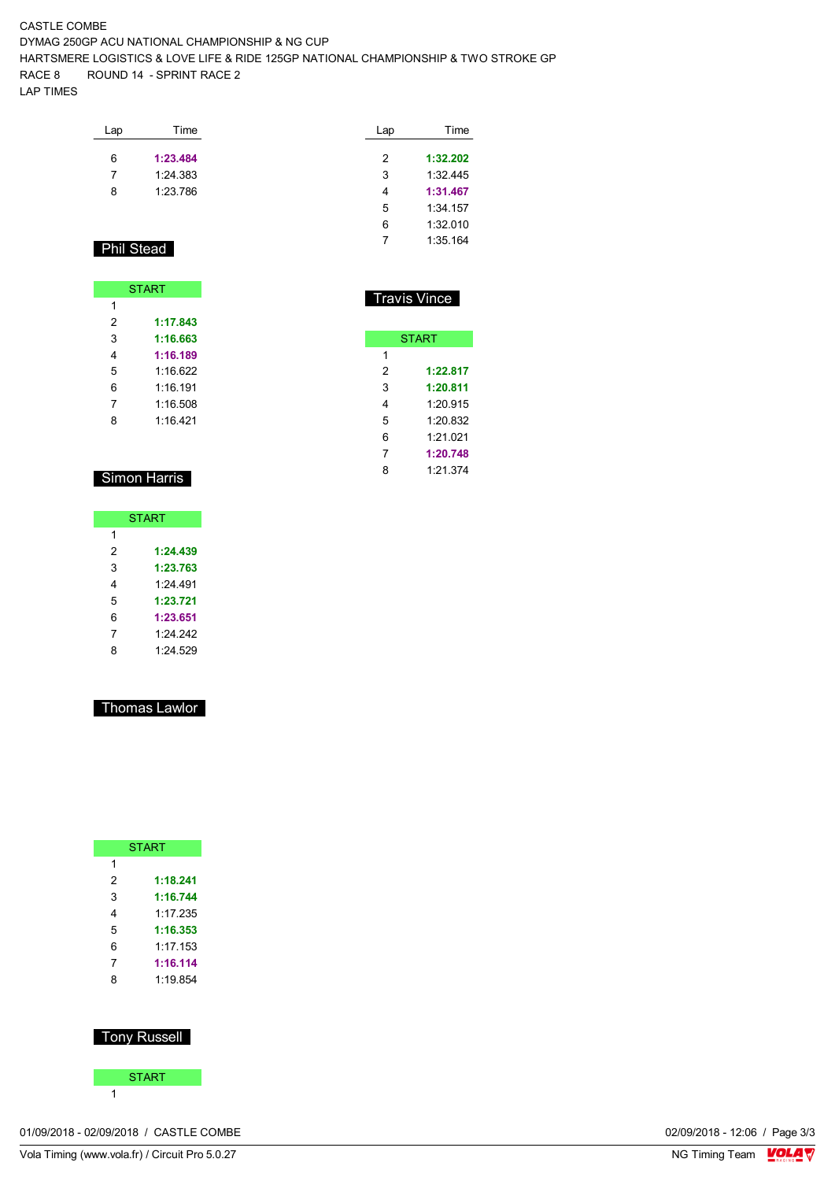#### CASTLE COMBE DYMAG 250GP ACU NATIONAL CHAMPIONSHIP & NG CUP HARTSMERE LOGISTICS & LOVE LIFE & RIDE 125GP NATIONAL CHAMPIONSHIP & TWO STROKE GP RACE 8 ROUND 14 - SPRINT RACE 2 LAP TIMES

| Lap | Time     |
|-----|----------|
| 6   | 1:23.484 |
| 7   | 1:24.383 |
| 8   | 1:23.786 |

| Lap | Time     |
|-----|----------|
| 2   |          |
|     | 1:32.202 |
| 3   | 1:32445  |
| 4   | 1:31.467 |
| 5   | 1:34 157 |
| 6   | 1:32.010 |
| 7   | 1:35 164 |

Travis Vince

**START** 

 **1:22.817 1:20.811** 1:20.915 1:20.832 1:21.021 **1:20.748** 1:21.374

# Phil Stead

|   | <b>START</b> |
|---|--------------|
| 1 |              |
| 2 | 1:17.843     |
| 3 | 1:16.663     |
| 4 | 1:16.189     |
| 5 | 1:16.622     |
| 6 | 1 16 191     |
| 7 | 1:16.508     |
| 8 | 1:16.421     |

## Simon Harris

| <b>START</b> |          |  |  |  |  |  |  |  |  |  |
|--------------|----------|--|--|--|--|--|--|--|--|--|
| 1            |          |  |  |  |  |  |  |  |  |  |
| 2            | 1:24.439 |  |  |  |  |  |  |  |  |  |
| 3            | 1:23.763 |  |  |  |  |  |  |  |  |  |
| 4            | 1.24 491 |  |  |  |  |  |  |  |  |  |
| 5            | 1:23.721 |  |  |  |  |  |  |  |  |  |
| 6            | 1:23.651 |  |  |  |  |  |  |  |  |  |
| 7            | 1.24 242 |  |  |  |  |  |  |  |  |  |
| 8            | 1:24.529 |  |  |  |  |  |  |  |  |  |

## Thomas Lawlor

|   | <b>START</b> |
|---|--------------|
| 1 |              |
| 2 | 1:18.241     |
| 3 | 1:16.744     |
| 4 | 1.17.235     |
| 5 | 1:16.353     |
| 6 | 1:17.153     |
| 7 | 1:16.114     |
| ጸ | 1.19854      |
|   |              |

### Tony Russell



01/09/2018 - 02/09/2018 / CASTLE COMBE